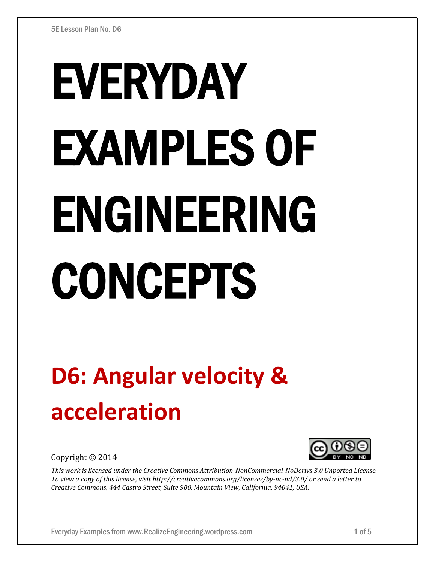# EVERYDAY EXAMPLES OF ENGINEERING **CONCEPTS**

# **D6: Angular velocity & acceleration**



Copyright © 2014

*This work is licensed under the Creative Commons Attribution-NonCommercial-NoDerivs 3.0 Unported License. To view a copy of this license, visit http://creativecommons.org/licenses/by-nc-nd/3.0/ or send a letter to Creative Commons, 444 Castro Street, Suite 900, Mountain View, California, 94041, USA.*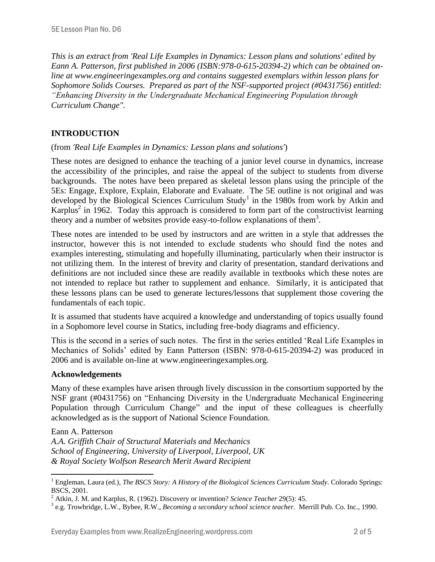*This is an extract from 'Real Life Examples in Dynamics: Lesson plans and solutions' edited by Eann A. Patterson, first published in 2006 (ISBN:978-0-615-20394-2) which can be obtained online at www.engineeringexamples.org and contains suggested exemplars within lesson plans for Sophomore Solids Courses. Prepared as part of the NSF-supported project (#0431756) entitled: "Enhancing Diversity in the Undergraduate Mechanical Engineering Population through Curriculum Change".* 

# **INTRODUCTION**

# (from *'Real Life Examples in Dynamics: Lesson plans and solutions'*)

These notes are designed to enhance the teaching of a junior level course in dynamics, increase the accessibility of the principles, and raise the appeal of the subject to students from diverse backgrounds. The notes have been prepared as skeletal lesson plans using the principle of the 5Es: Engage, Explore, Explain, Elaborate and Evaluate. The 5E outline is not original and was developed by the Biological Sciences Curriculum Study<sup>1</sup> in the 1980s from work by Atkin and Karplus<sup>2</sup> in 1962. Today this approach is considered to form part of the constructivist learning theory and a number of websites provide easy-to-follow explanations of them<sup>3</sup>.

These notes are intended to be used by instructors and are written in a style that addresses the instructor, however this is not intended to exclude students who should find the notes and examples interesting, stimulating and hopefully illuminating, particularly when their instructor is not utilizing them. In the interest of brevity and clarity of presentation, standard derivations and definitions are not included since these are readily available in textbooks which these notes are not intended to replace but rather to supplement and enhance. Similarly, it is anticipated that these lessons plans can be used to generate lectures/lessons that supplement those covering the fundamentals of each topic.

It is assumed that students have acquired a knowledge and understanding of topics usually found in a Sophomore level course in Statics, including free-body diagrams and efficiency.

This is the second in a series of such notes. The first in the series entitled 'Real Life Examples in Mechanics of Solids' edited by Eann Patterson (ISBN: 978-0-615-20394-2) was produced in 2006 and is available on-line at www.engineeringexamples.org.

# **Acknowledgements**

 $\overline{a}$ 

Many of these examples have arisen through lively discussion in the consortium supported by the NSF grant (#0431756) on "Enhancing Diversity in the Undergraduate Mechanical Engineering Population through Curriculum Change" and the input of these colleagues is cheerfully acknowledged as is the support of National Science Foundation.

Eann A. Patterson *A.A. Griffith Chair of Structural Materials and Mechanics School of Engineering, University of Liverpool, Liverpool, UK & Royal Society Wolfson Research Merit Award Recipient*

<sup>1</sup> Engleman, Laura (ed.), *The BSCS Story: A History of the Biological Sciences Curriculum Study*. Colorado Springs: BSCS, 2001.

<sup>2</sup> Atkin, J. M. and Karplus, R. (1962). Discovery or invention? *Science Teacher* 29(5): 45.

<sup>3</sup> e.g. Trowbridge, L.W., Bybee, R.W., *Becoming a secondary school science teacher*. Merrill Pub. Co. Inc., 1990.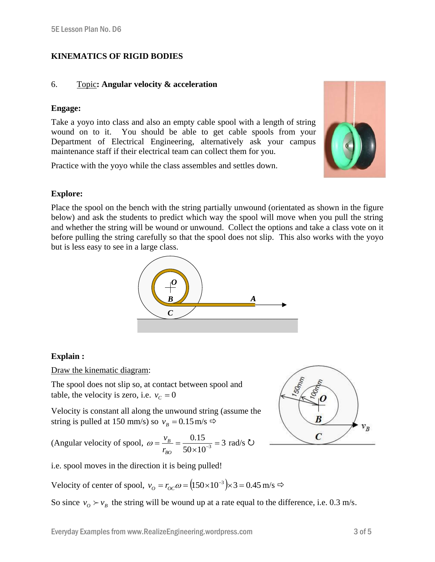# **KINEMATICS OF RIGID BODIES**

#### 6. Topic**: Angular velocity & acceleration**

#### **Engage:**

Take a yoyo into class and also an empty cable spool with a length of string wound on to it. You should be able to get cable spools from your Department of Electrical Engineering, alternatively ask your campus maintenance staff if their electrical team can collect them for you.

Practice with the yoyo while the class assembles and settles down.



# **Explore:**

Place the spool on the bench with the string partially unwound (orientated as shown in the figure below) and ask the students to predict which way the spool will move when you pull the string and whether the string will be wound or unwound. Collect the options and take a class vote on it before pulling the string carefully so that the spool does not slip. This also works with the yoyo but is less easy to see in a large class.



# **Explain :**

Draw the kinematic diagram:

The spool does not slip so, at contact between spool and table, the velocity is zero, i.e.  $v_c = 0$ 

Velocity is constant all along the unwound string (assume the string is pulled at 150 mm/s) so  $v_B = 0.15 \text{ m/s} \Rightarrow$ 

(Angular velocity of spool,  $\omega = \frac{v_B}{\epsilon_0} = \frac{0.13}{5.0 \times 10^{-3}} = 3$  $50 \times 10$ 0.15  $\overline{3}$  =  $=\frac{v_B}{r_{_{RO}}}=\frac{0.15}{50\times10^{-7}}$ *BO B r*  $\omega = \frac{v_B}{\omega} = \frac{0.15}{2.0 \times 10^{-3}} = 3$  rad/s  $\omega$ 

i.e. spool moves in the direction it is being pulled!

Velocity of center of spool,  $v_o = r_{oc}\omega = (150 \times 10^{-3}) \times 3 = 0.45$  m/s  $\Rightarrow$ 

So since  $v_o \succ v_B$  the string will be wound up at a rate equal to the difference, i.e. 0.3 m/s.

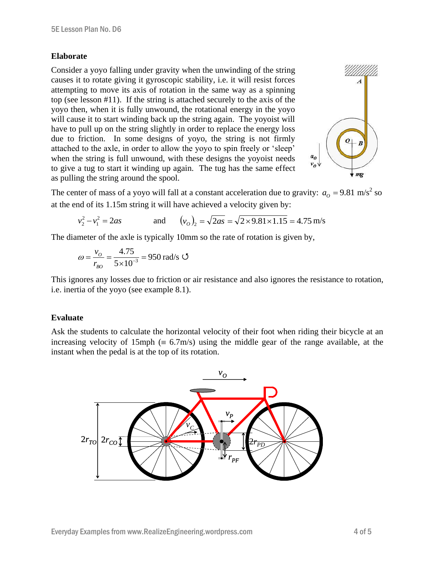# **Elaborate**

Consider a yoyo falling under gravity when the unwinding of the string causes it to rotate giving it gyroscopic stability, i.e. it will resist forces attempting to move its axis of rotation in the same way as a spinning top (see lesson #11). If the string is attached securely to the axis of the yoyo then, when it is fully unwound, the rotational energy in the yoyo will cause it to start winding back up the string again. The yoyoist will have to pull up on the string slightly in order to replace the energy loss due to friction. In some designs of yoyo, the string is not firmly attached to the axle, in order to allow the yoyo to spin freely or 'sleep' when the string is full unwound, with these designs the yoyoist needs to give a tug to start it winding up again. The tug has the same effect as pulling the string around the spool.



The center of mass of a yoyo will fall at a constant acceleration due to gravity:  $a_0 = 9.81 \text{ m/s}^2$  so at the end of its 1.15m string it will have achieved a velocity given by:

$$
v_2^2 - v_1^2 = 2as
$$
 and  $(v_0)_2 = \sqrt{2as} = \sqrt{2 \times 9.81 \times 1.15} = 4.75$  m/s

The diameter of the axle is typically 10mm so the rate of rotation is given by,

$$
\omega = \frac{v_O}{r_{BO}} = \frac{4.75}{5 \times 10^{-3}} = 950 \text{ rad/s \space \textcircled{5}}
$$

This ignores any losses due to friction or air resistance and also ignores the resistance to rotation, i.e. inertia of the yoyo (see example 8.1).

# **Evaluate**

Ask the students to calculate the horizontal velocity of their foot when riding their bicycle at an increasing velocity of 15mph ( $\equiv 6.7$ m/s) using the middle gear of the range available, at the instant when the pedal is at the top of its rotation.